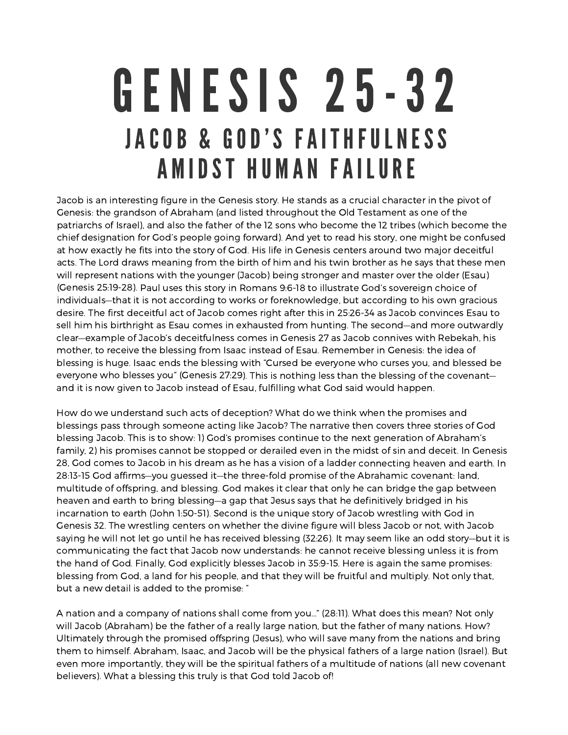## GENESIS 25-32 JACOB & GOD'S FAITHFULNESS A MIDST HUMAN FAILURE

Jacob is an interesting figure in the Genesis story. He stands as <sup>a</sup> crucial character in the pivot of Genesis: the grandson of Abraham (and listed throughout the Old Testament as one of the patriarchs of Israel), and also the father of the 12 sons who become the 12 tribes (which become the chief designation for God's people going forward). And yet to read his story, one might be confused at how exactly he fits into the story of God. His life in Genesis centers around two major deceitful acts. The Lord draws meaning from the birth of him and his twin brother as he says that these men will represent nations with the younger (Jacob) being stronger and master over the older (Esau) (Genesis 25:19-28). Paul uses this story in Romans 9:6-18 to illustrate God's sovereign choice of individuals—that it is not according to works or foreknowledge, but according to his own gracious desire. The first deceitful act of Jacob comes right after this in 25:26-34 as Jacob convinces Esau to sell him his birthright as Esau comes in exhausted from hunting. The second—and more outwardly clear—example of Jacob's deceitfulness comes in Genesis 27 as Jacob connives with Rebekah, his mother, to receive the blessing from Isaac instead of Esau. Remember in Genesis: the idea of blessing is huge. Isaac ends the blessing with "Cursed be everyone who curses you, and blessed be everyone who blesses you" (Genesis 27:29). This is nothing less than the blessing of the covenant and it is now given to Jacob instead of Esau, fulfilling what God said would happen.

How do we understand such acts of deception? What do we think when the promises and blessings pass through someone acting like Jacob? The narrative then covers three stories of God blessing Jacob. This is to show: 1) God's promises continue to the next generation of Abraham's family, 2) his promises cannot be stopped or derailed even in the midst of sin and deceit. In Genesis 28, God comes to Jacob in his dream as he has <sup>a</sup> vision of <sup>a</sup> ladder connecting heaven and earth. In 28:13-15 God affirms—you guessed it—the three-fold promise of the Abrahamic covenant: land, multitude of offspring, and blessing. God makes it clear that only he can bridge the gap between heaven and earth to bring blessing—a gap that Jesus says that he definitively bridged in his incarnation to earth (John 1:50-51). Second is the unique story of Jacob wrestling with God in Genesis 32. The wrestling centers on whether the divine figure will bless Jacob or not, with Jacob saying he will not let go until he has received blessing (32:26). It may seem like an odd story—but it is communicating the fact that Jacob now understands: he cannot receive blessing unless it is from the hand of God. Finally, God explicitly blesses Jacob in 35:9-15. Here is again the same promises: blessing from God, <sup>a</sup> land for his people, and that they will be fruitful and multiply. Not only that, but <sup>a</sup> new detail is added to the promise: "

A nation and <sup>a</sup> company of nations shall come from you…" (28:11). What does this mean? Not only will Jacob (Abraham) be the father of <sup>a</sup> really large nation, but the father of many nations. How? Ultimately through the promised offspring (Jesus), who will save many from the nations and bring them to himself. Abraham, Isaac, and Jacob will be the physical fathers of <sup>a</sup> large nation (Israel). But even more importantly, they will be the spiritual fathers of <sup>a</sup> multitude of nations (all new covenant believers). What <sup>a</sup> blessing this truly is that God told Jacob of!